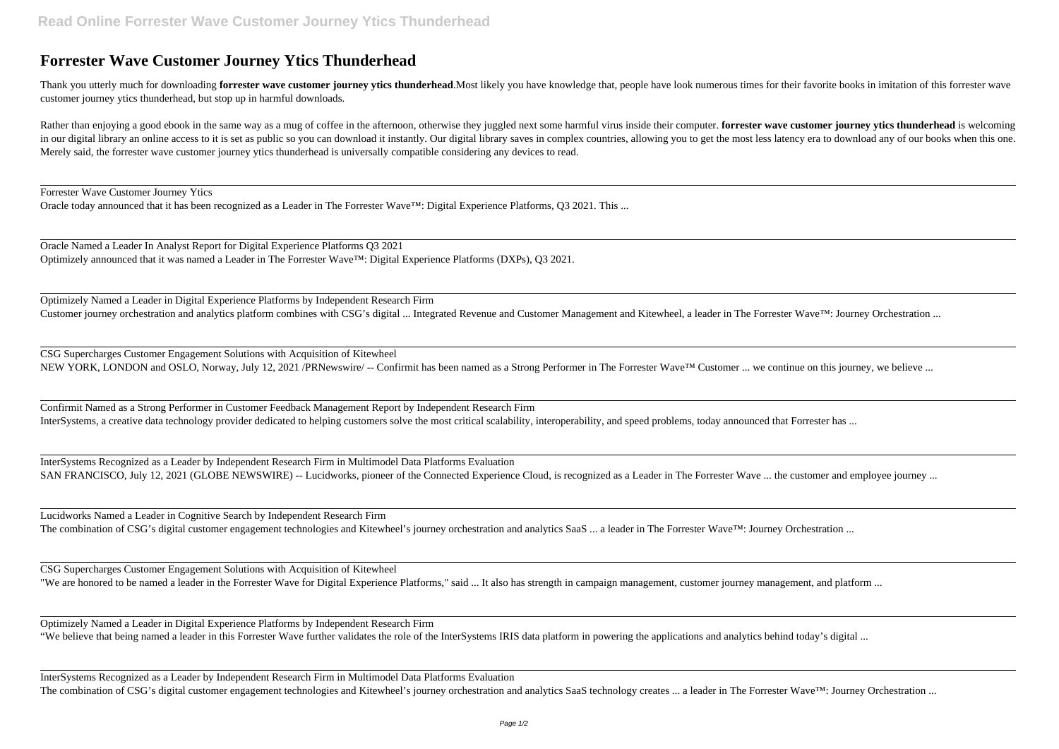## **Forrester Wave Customer Journey Ytics Thunderhead**

Thank you utterly much for downloading forrester wave customer journey ytics thunderhead.Most likely you have knowledge that, people have look numerous times for their favorite books in imitation of this forrester wave customer journey ytics thunderhead, but stop up in harmful downloads.

Rather than enjoying a good ebook in the same way as a mug of coffee in the afternoon, otherwise they juggled next some harmful virus inside their computer. forrester wave customer journey ytics thunderhead is welcoming in our digital library an online access to it is set as public so you can download it instantly. Our digital library saves in complex countries, allowing you to get the most less latency era to download any of our books wh Merely said, the forrester wave customer journey ytics thunderhead is universally compatible considering any devices to read.

Optimizely Named a Leader in Digital Experience Platforms by Independent Research Firm Customer journey orchestration and analytics platform combines with CSG's digital ... Integrated Revenue and Customer Management and Kitewheel, a leader in The Forrester Wave™: Journey Orchestration ...

CSG Supercharges Customer Engagement Solutions with Acquisition of Kitewheel NEW YORK, LONDON and OSLO, Norway, July 12, 2021 /PRNewswire/-- Confirmit has been named as a Strong Performer in The Forrester Wave™ Customer ... we continue on this journey, we believe ...

Forrester Wave Customer Journey Ytics

Oracle today announced that it has been recognized as a Leader in The Forrester Wave™: Digital Experience Platforms, Q3 2021. This ...

InterSystems Recognized as a Leader by Independent Research Firm in Multimodel Data Platforms Evaluation SAN FRANCISCO, July 12, 2021 (GLOBE NEWSWIRE) -- Lucidworks, pioneer of the Connected Experience Cloud, is recognized as a Leader in The Forrester Wave ... the customer and employee journey ...

Oracle Named a Leader In Analyst Report for Digital Experience Platforms Q3 2021 Optimizely announced that it was named a Leader in The Forrester Wave™: Digital Experience Platforms (DXPs), Q3 2021.

Lucidworks Named a Leader in Cognitive Search by Independent Research Firm The combination of CSG's digital customer engagement technologies and Kitewheel's journey orchestration and analytics SaaS ... a leader in The Forrester Wave™: Journey Orchestration ...

InterSystems Recognized as a Leader by Independent Research Firm in Multimodel Data Platforms Evaluation The combination of CSG's digital customer engagement technologies and Kitewheel's journey orchestration and analytics SaaS technology creates ... a leader in The Forrester Wave<sup>TM</sup>: Journey Orchestration ...

Confirmit Named as a Strong Performer in Customer Feedback Management Report by Independent Research Firm InterSystems, a creative data technology provider dedicated to helping customers solve the most critical scalability, interoperability, and speed problems, today announced that Forrester has ...

CSG Supercharges Customer Engagement Solutions with Acquisition of Kitewheel "We are honored to be named a leader in the Forrester Wave for Digital Experience Platforms," said ... It also has strength in campaign management, customer journey management, and platform ...

Optimizely Named a Leader in Digital Experience Platforms by Independent Research Firm "We believe that being named a leader in this Forrester Wave further validates the role of the InterSystems IRIS data platform in powering the applications and analytics behind today's digital ...